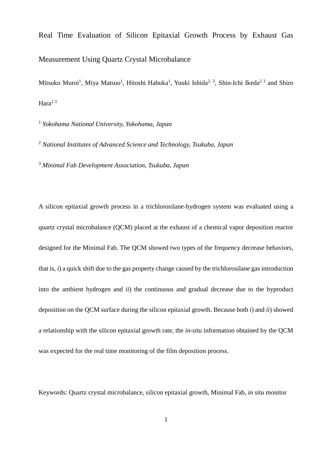# Real Time Evaluation of Silicon Epitaxial Growth Process by Exhaust Gas Measurement Using Quartz Crystal Microbalance

Mitsuko Muroi<sup>1</sup>, Miya Matsuo<sup>1</sup>, Hitoshi Habuka<sup>1</sup>, Yuuki Ishida<sup>2, 3</sup>, Shin-Ichi Ikeda<sup>2 3</sup> and Shiro Hara $23$ 

<sup>1</sup> *Yokohama National University, Yokohama, Japan*

<sup>2</sup> *National Institutes of Advanced Science and Technology, Tsukuba, Japan*

<sup>3</sup> *Minimal Fab Development Association, Tsukuba, Japan*

A silicon epitaxial growth process in a trichlorosilane-hydrogen system was evaluated using a quartz crystal microbalance (QCM) placed at the exhaust of a chemical vapor deposition reactor designed for the Minimal Fab. The QCM showed two types of the frequency decrease behaviors, that is, *i*) a quick shift due to the gas property change caused by the trichlorosilane gas introduction into the ambient hydrogen and *ii*) the continuous and gradual decrease due to the byproduct deposition on the QCM surface during the silicon epitaxial growth. Because both *i*) and *ii*) showed a relationship with the silicon epitaxial growth rate, the *in-situ* information obtained by the QCM was expected for the real time monitoring of the film deposition process.

Keywords: Quartz crystal microbalance, silicon epitaxial growth, Minimal Fab, *in situ* monitor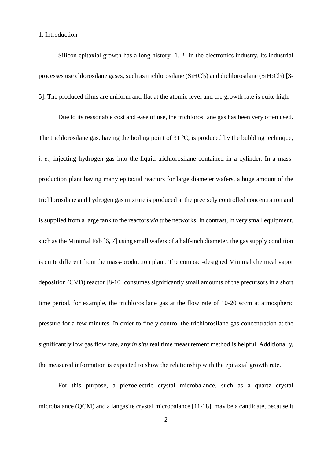1. Introduction

Silicon epitaxial growth has a long history [1, 2] in the electronics industry. Its industrial processes use chlorosilane gases, such as trichlorosilane (SiHCl<sub>3</sub>) and dichlorosilane (SiH<sub>2</sub>Cl<sub>2</sub>) [3-5]. The produced films are uniform and flat at the atomic level and the growth rate is quite high.

Due to its reasonable cost and ease of use, the trichlorosilane gas has been very often used. The trichlorosilane gas, having the boiling point of 31  $\degree$ C, is produced by the bubbling technique, *i. e.*, injecting hydrogen gas into the liquid trichlorosilane contained in a cylinder. In a massproduction plant having many epitaxial reactors for large diameter wafers, a huge amount of the trichlorosilane and hydrogen gas mixture is produced at the precisely controlled concentration and is supplied from a large tank to the reactors *via* tube networks. In contrast, in very small equipment, such as the Minimal Fab [6, 7] using small wafers of a half-inch diameter, the gas supply condition is quite different from the mass-production plant. The compact-designed Minimal chemical vapor deposition (CVD) reactor [8-10] consumes significantly small amounts of the precursors in a short time period, for example, the trichlorosilane gas at the flow rate of 10-20 sccm at atmospheric pressure for a few minutes. In order to finely control the trichlorosilane gas concentration at the significantly low gas flow rate, any *in situ* real time measurement method is helpful. Additionally, the measured information is expected to show the relationship with the epitaxial growth rate.

For this purpose, a piezoelectric crystal microbalance, such as a quartz crystal microbalance (QCM) and a langasite crystal microbalance [11-18], may be a candidate, because it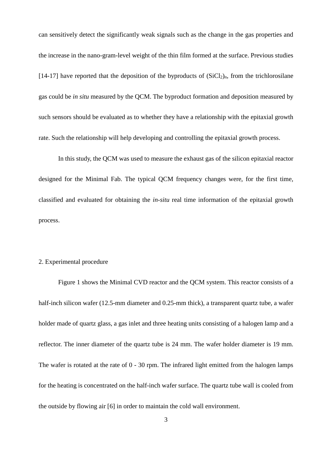can sensitively detect the significantly weak signals such as the change in the gas properties and the increase in the nano-gram-level weight of the thin film formed at the surface. Previous studies [14-17] have reported that the deposition of the byproducts of  $(SiCl<sub>2</sub>)<sub>n</sub>$ , from the trichlorosilane gas could be *in situ* measured by the QCM. The byproduct formation and deposition measured by such sensors should be evaluated as to whether they have a relationship with the epitaxial growth rate. Such the relationship will help developing and controlling the epitaxial growth process.

In this study, the QCM was used to measure the exhaust gas of the silicon epitaxial reactor designed for the Minimal Fab. The typical QCM frequency changes were, for the first time, classified and evaluated for obtaining the *in-situ* real time information of the epitaxial growth process.

# 2. Experimental procedure

Figure 1 shows the Minimal CVD reactor and the QCM system. This reactor consists of a half-inch silicon wafer (12.5-mm diameter and 0.25-mm thick), a transparent quartz tube, a wafer holder made of quartz glass, a gas inlet and three heating units consisting of a halogen lamp and a reflector. The inner diameter of the quartz tube is 24 mm. The wafer holder diameter is 19 mm. The wafer is rotated at the rate of 0 - 30 rpm. The infrared light emitted from the halogen lamps for the heating is concentrated on the half-inch wafer surface. The quartz tube wall is cooled from the outside by flowing air [6] in order to maintain the cold wall environment.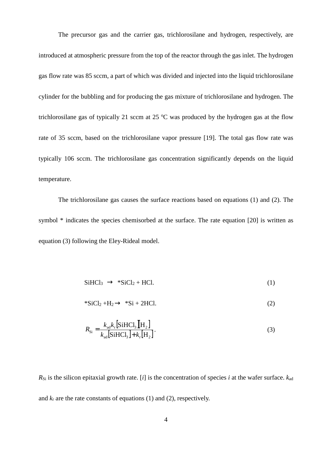The precursor gas and the carrier gas, trichlorosilane and hydrogen, respectively, are introduced at atmospheric pressure from the top of the reactor through the gas inlet. The hydrogen gas flow rate was 85 sccm, a part of which was divided and injected into the liquid trichlorosilane cylinder for the bubbling and for producing the gas mixture of trichlorosilane and hydrogen. The trichlorosilane gas of typically 21 sccm at 25  $\degree$ C was produced by the hydrogen gas at the flow rate of 35 sccm, based on the trichlorosilane vapor pressure [19]. The total gas flow rate was typically 106 sccm. The trichlorosilane gas concentration significantly depends on the liquid temperature.

The trichlorosilane gas causes the surface reactions based on equations (1) and (2). The symbol \* indicates the species chemisorbed at the surface. The rate equation [20] is written as equation (3) following the Eley-Rideal model.

$$
SiHCl3 \rightarrow *SiCl2 + HCl.
$$
 (1)

$$
*SiCl_2 + H_2 \rightarrow *Si + 2HCl.
$$
 (2)

$$
R_{\rm Si} = \frac{k_{\rm ad}k_{\rm r} \left[ \text{SiHCl}_3 \right] \left[ \text{H}_2 \right]}{k_{\rm ad} \left[ \text{SiHCl}_3 \right] + k_{\rm r} \left[ \text{H}_2 \right]}.
$$
 (3)

 $R_{Si}$  is the silicon epitaxial growth rate. [*i*] is the concentration of species *i* at the wafer surface.  $k_{ad}$ and  $k_r$  are the rate constants of equations (1) and (2), respectively.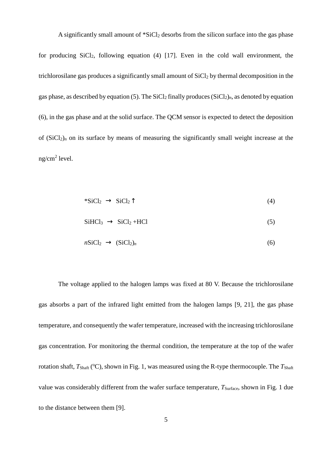A significantly small amount of  $Sicl<sub>2</sub>$  desorbs from the silicon surface into the gas phase for producing SiCl<sub>2</sub>, following equation (4) [17]. Even in the cold wall environment, the trichlorosilane gas produces a significantly small amount of SiCl<sub>2</sub> by thermal decomposition in the gas phase, as described by equation (5). The  $SiCl<sub>2</sub>$  finally produces  $(SiCl<sub>2</sub>)<sub>n</sub>$ , as denoted by equation (6), in the gas phase and at the solid surface. The QCM sensor is expected to detect the deposition of  $(SiCl<sub>2</sub>)<sub>n</sub>$  on its surface by means of measuring the significantly small weight increase at the ng/cm<sup>2</sup> level.

$$
*SiCl_2 \to SiCl_2 \uparrow \tag{4}
$$

$$
SiHCl_3 \rightarrow SiCl_2 + HCl
$$
 (5)

$$
nSiCl_2 \rightarrow (SiCl_2)_n \tag{6}
$$

The voltage applied to the halogen lamps was fixed at 80 V. Because the trichlorosilane gas absorbs a part of the infrared light emitted from the halogen lamps [9, 21], the gas phase temperature, and consequently the wafer temperature, increased with the increasing trichlorosilane gas concentration. For monitoring the thermal condition, the temperature at the top of the wafer rotation shaft,  $T_{\text{Shaff}}$  ( $^{\circ}$ C), shown in Fig. 1, was measured using the R-type thermocouple. The  $T_{\text{Shaff}}$ value was considerably different from the wafer surface temperature, *T*<sub>Surface</sub>, shown in Fig. 1 due to the distance between them [9].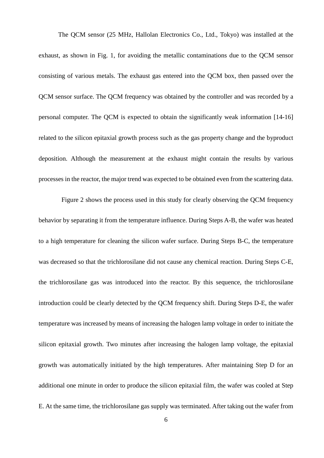The QCM sensor (25 MHz, Hallolan Electronics Co., Ltd., Tokyo) was installed at the exhaust, as shown in Fig. 1, for avoiding the metallic contaminations due to the QCM sensor consisting of various metals. The exhaust gas entered into the QCM box, then passed over the QCM sensor surface. The QCM frequency was obtained by the controller and was recorded by a personal computer. The QCM is expected to obtain the significantly weak information [14-16] related to the silicon epitaxial growth process such as the gas property change and the byproduct deposition. Although the measurement at the exhaust might contain the results by various processes in the reactor, the major trend was expected to be obtained even from the scattering data.

Figure 2 shows the process used in this study for clearly observing the QCM frequency behavior by separating it from the temperature influence. During Steps A-B, the wafer was heated to a high temperature for cleaning the silicon wafer surface. During Steps B-C, the temperature was decreased so that the trichlorosilane did not cause any chemical reaction. During Steps C-E, the trichlorosilane gas was introduced into the reactor. By this sequence, the trichlorosilane introduction could be clearly detected by the QCM frequency shift. During Steps D-E, the wafer temperature was increased by means of increasing the halogen lamp voltage in order to initiate the silicon epitaxial growth. Two minutes after increasing the halogen lamp voltage, the epitaxial growth was automatically initiated by the high temperatures. After maintaining Step D for an additional one minute in order to produce the silicon epitaxial film, the wafer was cooled at Step E. At the same time, the trichlorosilane gas supply was terminated. After taking out the wafer from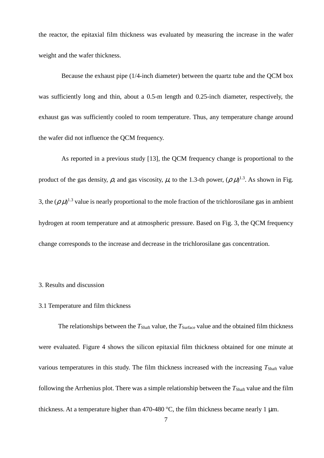the reactor, the epitaxial film thickness was evaluated by measuring the increase in the wafer weight and the wafer thickness.

Because the exhaust pipe (1/4-inch diameter) between the quartz tube and the QCM box was sufficiently long and thin, about a 0.5-m length and 0.25-inch diameter, respectively, the exhaust gas was sufficiently cooled to room temperature. Thus, any temperature change around the wafer did not influence the QCM frequency.

As reported in a previous study [13], the QCM frequency change is proportional to the product of the gas density,  $\rho$ , and gas viscosity,  $\mu$ , to the 1.3-th power,  $(\rho \mu)^{1.3}$ . As shown in Fig. 3, the  $(\rho \mu)^{1.3}$  value is nearly proportional to the mole fraction of the trichlorosilane gas in ambient hydrogen at room temperature and at atmospheric pressure. Based on Fig. 3, the QCM frequency change corresponds to the increase and decrease in the trichlorosilane gas concentration.

# 3. Results and discussion

#### 3.1 Temperature and film thickness

The relationships between the *T*<sub>Shaft</sub> value, the *T*<sub>Surface</sub> value and the obtained film thickness were evaluated. Figure 4 shows the silicon epitaxial film thickness obtained for one minute at various temperatures in this study. The film thickness increased with the increasing  $T_{\text{Shaff}}$  value following the Arrhenius plot. There was a simple relationship between the  $T_{\text{Shaft}}$  value and the film thickness. At a temperature higher than 470-480  $^{\circ}$ C, the film thickness became nearly 1 µm.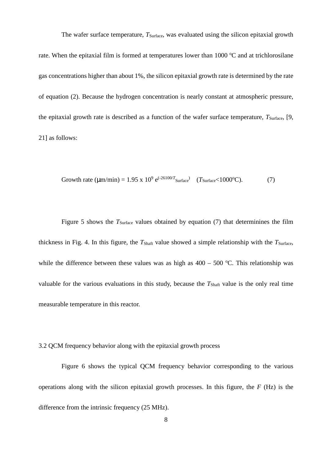The wafer surface temperature,  $T_{\text{Surface}}$ , was evaluated using the silicon epitaxial growth rate. When the epitaxial film is formed at temperatures lower than  $1000 \degree C$  and at trichlorosilane gas concentrations higher than about 1%, the silicon epitaxial growth rate is determined by the rate of equation (2). Because the hydrogen concentration is nearly constant at atmospheric pressure, the epitaxial growth rate is described as a function of the wafer surface temperature,  $T_{\text{Surface}}$ , [9, 21] as follows:

Growth rate (
$$
\mu
$$
m/min) = 1.95 x 10<sup>9</sup> e<sup>(-26100/T</sup> surface<sup>3</sup>) (*T* surface<sup>2</sup>1000°C). (7)

Figure 5 shows the *T*<sub>Surface</sub> values obtained by equation (7) that determinines the film thickness in Fig. 4. In this figure, the  $T_{\text{Shaff}}$  value showed a simple relationship with the  $T_{\text{Surface}}$ , while the difference between these values was as high as  $400 - 500$  °C. This relationship was valuable for the various evaluations in this study, because the *T*<sub>Shaft</sub> value is the only real time measurable temperature in this reactor.

3.2 QCM frequency behavior along with the epitaxial growth process

Figure 6 shows the typical QCM frequency behavior corresponding to the various operations along with the silicon epitaxial growth processes. In this figure, the *F* (Hz) is the difference from the intrinsic frequency (25 MHz).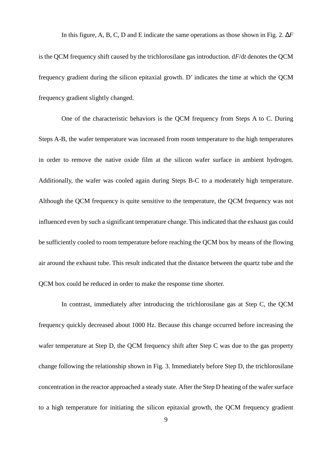In this figure, A, B, C, D and E indicate the same operations as those shown in Fig. 2. ∆*F* is the QCM frequency shift caused by the trichlorosilane gas introduction. d*F*/d*t* denotes the QCM frequency gradient during the silicon epitaxial growth. D' indicates the time at which the QCM frequency gradient slightly changed.

One of the characteristic behaviors is the QCM frequency from Steps A to C. During Steps A-B, the wafer temperature was increased from room temperature to the high temperatures in order to remove the native oxide film at the silicon wafer surface in ambient hydrogen. Additionally, the wafer was cooled again during Steps B-C to a moderately high temperature. Although the QCM frequency is quite sensitive to the temperature, the QCM frequency was not influenced even by such a significant temperature change. This indicated that the exhaust gas could be sufficiently cooled to room temperature before reaching the QCM box by means of the flowing air around the exhaust tube. This result indicated that the distance between the quartz tube and the QCM box could be reduced in order to make the response time shorter.

In contrast, immediately after introducing the trichlorosilane gas at Step C, the QCM frequency quickly decreased about 1000 Hz. Because this change occurred before increasing the wafer temperature at Step D, the QCM frequency shift after Step C was due to the gas property change following the relationship shown in Fig. 3. Immediately before Step D, the trichlorosilane concentration in the reactor approached a steady state. After the Step D heating of the wafer surface to a high temperature for initiating the silicon epitaxial growth, the QCM frequency gradient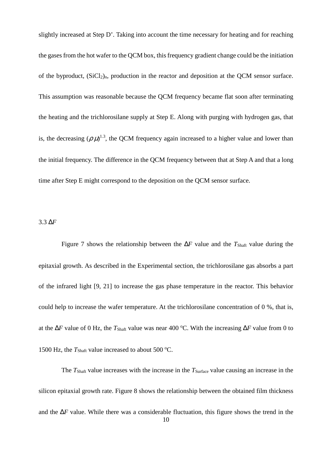slightly increased at Step D'. Taking into account the time necessary for heating and for reaching the gases from the hot wafer to the QCM box, this frequency gradient change could be the initiation of the byproduct,  $(SiCl<sub>2</sub>)<sub>n</sub>$ , production in the reactor and deposition at the OCM sensor surface. This assumption was reasonable because the QCM frequency became flat soon after terminating the heating and the trichlorosilane supply at Step E. Along with purging with hydrogen gas, that is, the decreasing  $(\rho \mu)^{1.3}$ , the QCM frequency again increased to a higher value and lower than the initial frequency. The difference in the QCM frequency between that at Step A and that a long time after Step E might correspond to the deposition on the QCM sensor surface.

#### 3.3 ∆*F*

Figure 7 shows the relationship between the  $\Delta F$  value and the  $T_{\text{Shaft}}$  value during the epitaxial growth. As described in the Experimental section, the trichlorosilane gas absorbs a part of the infrared light [9, 21] to increase the gas phase temperature in the reactor. This behavior could help to increase the wafer temperature. At the trichlorosilane concentration of 0 %, that is, at the ∆*F* value of 0 Hz, the *T*Shaft value was near 400 <sup>o</sup>C. With the increasing ∆*F* value from 0 to 1500 Hz, the  $T_{\text{Shaft}}$  value increased to about 500 °C.

The *T*<sub>Shaft</sub> value increases with the increase in the *T*<sub>Surface</sub> value causing an increase in the silicon epitaxial growth rate. Figure 8 shows the relationship between the obtained film thickness and the ∆*F* value. While there was a considerable fluctuation, this figure shows the trend in the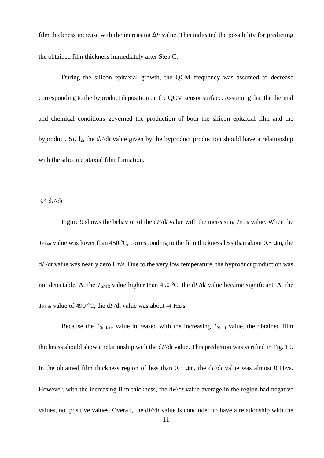film thickness increase with the increasing ∆*F* value. This indicated the possibility for predicting the obtained film thickness immediately after Step C.

During the silicon epitaxial growth, the QCM frequency was assumed to decrease corresponding to the byproduct deposition on the QCM sensor surface. Assuming that the thermal and chemical conditions governed the production of both the silicon epitaxial film and the byproduct, SiCl<sub>2</sub>, the *dF*/d*t* value given by the byproduct production should have a relationship with the silicon epitaxial film formation.

3.4 d*F*/d*t*

Figure 9 shows the behavior of the  $dF/dt$  value with the increasing  $T_{\text{Shaff}}$  value. When the  $T_{\text{Shaft}}$  value was lower than 450 °C, corresponding to the film thickness less than about 0.5  $\mu$ m, the d*F*/d*t* value was nearly zero Hz/s. Due to the very low temperature, the byproduct production was not detectable. At the  $T_{\text{Shaff}}$  value higher than 450 °C, the  $dF/dt$  value became significant. At the *T*<sub>Shaft</sub> value of 490 °C, the  $dF/dt$  value was about -4 Hz/s.

Because the  $T_{\text{Surface}}$  value increased with the increasing  $T_{\text{Shaft}}$  value, the obtained film thickness should show a relationship with the d*F*/d*t* value. This prediction was verified in Fig. 10. In the obtained film thickness region of less than 0.5 µm, the d*F*/d*t* value was almost 0 Hz/s. However, with the increasing film thickness, the d*F*/d*t* value average in the region had negative values, not positive values. Overall, the d*F*/d*t* value is concluded to have a relationship with the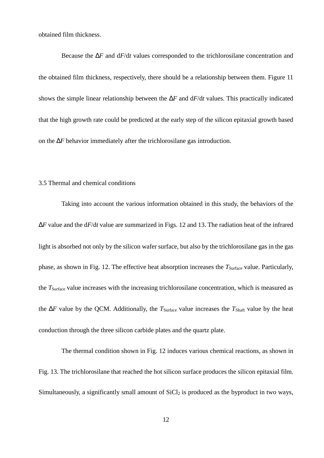obtained film thickness.

Because the ∆*F* and d*F*/d*t* values corresponded to the trichlorosilane concentration and the obtained film thickness, respectively, there should be a relationship between them. Figure 11 shows the simple linear relationship between the ∆*F* and d*F*/d*t* values. This practically indicated that the high growth rate could be predicted at the early step of the silicon epitaxial growth based on the ∆*F* behavior immediately after the trichlorosilane gas introduction.

## 3.5 Thermal and chemical conditions

Taking into account the various information obtained in this study, the behaviors of the ∆*F* value and the d*F*/d*t* value are summarized in Figs. 12 and 13. The radiation heat of the infrared light is absorbed not only by the silicon wafer surface, but also by the trichlorosilane gas in the gas phase, as shown in Fig. 12. The effective heat absorption increases the *T*<sub>Surface</sub> value. Particularly, the *T*Surface value increases with the increasing trichlorosilane concentration, which is measured as the Δ*F* value by the QCM. Additionally, the *T*<sub>Surface</sub> value increases the *T*<sub>Shaft</sub> value by the heat conduction through the three silicon carbide plates and the quartz plate.

The thermal condition shown in Fig. 12 induces various chemical reactions, as shown in Fig. 13. The trichlorosilane that reached the hot silicon surface produces the silicon epitaxial film. Simultaneously, a significantly small amount of  $SiCl<sub>2</sub>$  is produced as the byproduct in two ways,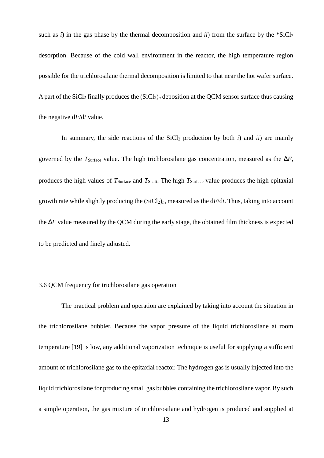such as *i*) in the gas phase by the thermal decomposition and *ii*) from the surface by the  $*SiCl<sub>2</sub>$ desorption. Because of the cold wall environment in the reactor, the high temperature region possible for the trichlorosilane thermal decomposition is limited to that near the hot wafer surface. A part of the SiCl<sub>2</sub> finally produces the  $(SiCl<sub>2</sub>)<sub>n</sub>$  deposition at the QCM sensor surface thus causing the negative d*F*/d*t* value.

In summary, the side reactions of the  $SiCl<sub>2</sub>$  production by both *i*) and *ii*) are mainly governed by the  $T_{\text{Surface}}$  value. The high trichlorosilane gas concentration, measured as the  $\Delta F$ , produces the high values of *T*Surface and *T*Shaft. The high *T*Surface value produces the high epitaxial growth rate while slightly producing the  $(SiCl<sub>2</sub>)<sub>n</sub>$ , measured as the  $dF/dt$ . Thus, taking into account the ∆*F* value measured by the QCM during the early stage, the obtained film thickness is expected to be predicted and finely adjusted.

## 3.6 QCM frequency for trichlorosilane gas operation

The practical problem and operation are explained by taking into account the situation in the trichlorosilane bubbler. Because the vapor pressure of the liquid trichlorosilane at room temperature [19] is low, any additional vaporization technique is useful for supplying a sufficient amount of trichlorosilane gas to the epitaxial reactor. The hydrogen gas is usually injected into the liquid trichlorosilane for producing small gas bubbles containing the trichlorosilane vapor. By such a simple operation, the gas mixture of trichlorosilane and hydrogen is produced and supplied at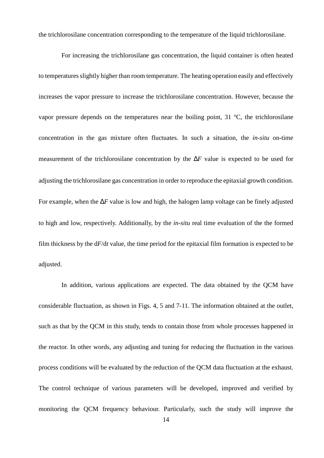the trichlorosilane concentration corresponding to the temperature of the liquid trichlorosilane.

For increasing the trichlorosilane gas concentration, the liquid container is often heated to temperatures slightly higher than room temperature. The heating operation easily and effectively increases the vapor pressure to increase the trichlorosilane concentration. However, because the vapor pressure depends on the temperatures near the boiling point,  $31^{\circ}$ C, the trichlorosilane concentration in the gas mixture often fluctuates. In such a situation, the *in-situ* on-time measurement of the trichlorosilane concentration by the ∆*F* value is expected to be used for adjusting the trichlorosilane gas concentration in order to reproduce the epitaxial growth condition. For example, when the ∆*F* value is low and high, the halogen lamp voltage can be finely adjusted to high and low, respectively. Additionally, by the *in-situ* real time evaluation of the the formed film thickness by the d*F*/d*t* value, the time period for the epitaxial film formation is expected to be adjusted.

In addition, various applications are expected. The data obtained by the QCM have considerable fluctuation, as shown in Figs. 4, 5 and 7-11. The information obtained at the outlet, such as that by the QCM in this study, tends to contain those from whole processes happened in the reactor. In other words, any adjusting and tuning for reducing the fluctuation in the various process conditions will be evaluated by the reduction of the QCM data fluctuation at the exhaust. The control technique of various parameters will be developed, improved and verified by monitoring the QCM frequency behaviour. Particularly, such the study will improve the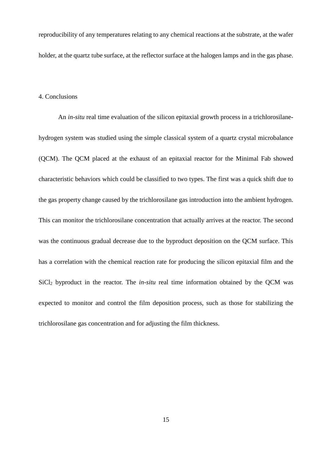reproducibility of any temperatures relating to any chemical reactions at the substrate, at the wafer holder, at the quartz tube surface, at the reflector surface at the halogen lamps and in the gas phase.

#### 4. Conclusions

An *in-situ* real time evaluation of the silicon epitaxial growth process in a trichlorosilanehydrogen system was studied using the simple classical system of a quartz crystal microbalance (QCM). The QCM placed at the exhaust of an epitaxial reactor for the Minimal Fab showed characteristic behaviors which could be classified to two types. The first was a quick shift due to the gas property change caused by the trichlorosilane gas introduction into the ambient hydrogen. This can monitor the trichlorosilane concentration that actually arrives at the reactor. The second was the continuous gradual decrease due to the byproduct deposition on the QCM surface. This has a correlation with the chemical reaction rate for producing the silicon epitaxial film and the SiCl<sub>2</sub> byproduct in the reactor. The *in-situ* real time information obtained by the QCM was expected to monitor and control the film deposition process, such as those for stabilizing the trichlorosilane gas concentration and for adjusting the film thickness.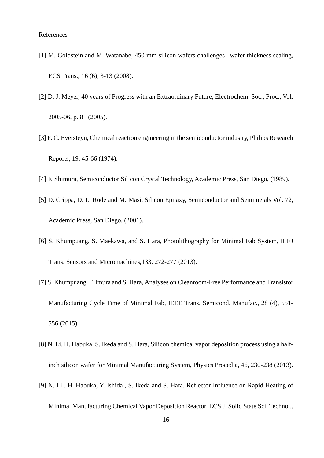- [1] M. Goldstein and M. Watanabe, 450 mm silicon wafers challenges –wafer thickness scaling, ECS Trans., 16 (6), 3-13 (2008).
- [2] D. J. Meyer, 40 years of Progress with an Extraordinary Future, Electrochem. Soc., Proc., Vol. 2005-06, p. 81 (2005).
- [3] F. C. Eversteyn, Chemical reaction engineering in the semiconductor industry, Philips Research Reports, 19, 45-66 (1974).
- [4] F. Shimura, Semiconductor Silicon Crystal Technology, Academic Press, San Diego, (1989).
- [5] D. Crippa, D. L. Rode and M. Masi, Silicon Epitaxy, Semiconductor and Semimetals Vol. 72, Academic Press, San Diego, (2001).
- [6] S. Khumpuang, S. Maekawa, and S. Hara, Photolithography for Minimal Fab System, IEEJ Trans. Sensors and Micromachines,133, 272-277 (2013).
- [7] S. Khumpuang, F. Imura and S. Hara, Analyses on Cleanroom-Free Performance and Transistor Manufacturing Cycle Time of Minimal Fab, IEEE Trans. Semicond. Manufac., 28 (4), 551- 556 (2015).
- [8] N. Li, H. Habuka, S. Ikeda and S. Hara, Silicon chemical vapor deposition process using a halfinch silicon wafer for Minimal Manufacturing System, Physics Procedia, 46, 230-238 (2013).
- [9] N. Li , H. Habuka, Y. Ishida , S. Ikeda and S. Hara, Reflector Influence on Rapid Heating of Minimal Manufacturing Chemical Vapor Deposition Reactor, ECS J. Solid State Sci. Technol.,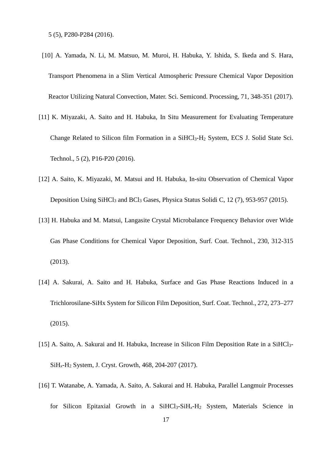5 (5), P280-P284 (2016).

- [10] A. Yamada, N. Li, M. Matsuo, M. Muroi, H. Habuka, Y. Ishida, S. Ikeda and S. Hara, Transport Phenomena in a Slim Vertical Atmospheric Pressure Chemical Vapor Deposition Reactor Utilizing Natural Convection, Mater. Sci. Semicond. Processing, 71, 348-351 (2017).
- [11] K. Miyazaki, A. Saito and H. Habuka, In Situ Measurement for Evaluating Temperature Change Related to Silicon film Formation in a SiHCl3-H2 System, ECS J. Solid State Sci. Technol., 5 (2), P16-P20 (2016).
- [12] A. Saito, K. Miyazaki, M. Matsui and H. Habuka, In-situ Observation of Chemical Vapor Deposition Using SiHCl<sub>3</sub> and BCl<sub>3</sub> Gases, Physica Status Solidi C, 12 (7), 953-957 (2015).
- [13] H. Habuka and M. Matsui, Langasite Crystal Microbalance Frequency Behavior over Wide Gas Phase Conditions for Chemical Vapor Deposition, Surf. Coat. Technol., 230, 312-315 (2013).
- [14] A. Sakurai, A. Saito and H. Habuka, Surface and Gas Phase Reactions Induced in a Trichlorosilane-SiHx System for Silicon Film Deposition, Surf. Coat. Technol., 272, 273–277 (2015).
- [15] A. Saito, A. Sakurai and H. Habuka, Increase in Silicon Film Deposition Rate in a SiHCl<sub>3</sub>-SiH*x*-H2 System, J. Cryst. Growth, 468, 204-207 (2017).
- [16] T. Watanabe, A. Yamada, A. Saito, A. Sakurai and H. Habuka, Parallel Langmuir Processes for Silicon Epitaxial Growth in a SiHCl3-SiH*x*-H2 System, Materials Science in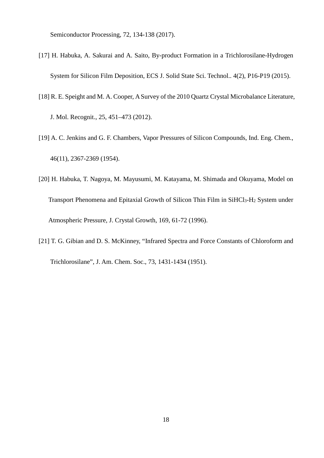Semiconductor Processing, 72, 134-138 (2017).

- [17] H. Habuka, A. Sakurai and A. Saito, By-product Formation in a Trichlorosilane-Hydrogen System for Silicon Film Deposition, ECS J. Solid State Sci. Technol.. 4(2), P16-P19 (2015).
- [18] R. E. Speight and M. A. Cooper, A Survey of the 2010 Quartz Crystal Microbalance Literature,

J. Mol. Recognit., 25, 451–473 (2012).

- [19] A. C. Jenkins and G. F. Chambers, Vapor Pressures of Silicon Compounds, Ind. Eng. Chem., 46(11), 2367-2369 (1954).
- [20] H. Habuka, T. Nagoya, M. Mayusumi, M. Katayama, M. Shimada and Okuyama, Model on Transport Phenomena and Epitaxial Growth of Silicon Thin Film in  $SiHCI<sub>3</sub>-H<sub>2</sub>$  System under Atmospheric Pressure, J. Crystal Growth, 169, 61-72 (1996).
- [21] T. G. Gibian and D. S. McKinney, "Infrared Spectra and Force Constants of Chloroform and Trichlorosilane", J. Am. Chem. Soc., 73, 1431-1434 (1951).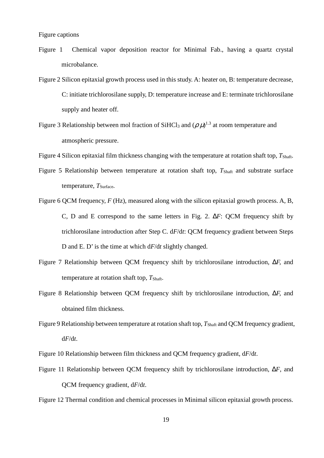- Figure 1 Chemical vapor deposition reactor for Minimal Fab., having a quartz crystal microbalance.
- Figure 2 Silicon epitaxial growth process used in this study. A: heater on, B: temperature decrease, C: initiate trichlorosilane supply, D: temperature increase and E: terminate trichlorosilane supply and heater off.
- Figure 3 Relationship between mol fraction of SiHCl<sub>3</sub> and ( $\rho \mu$ )<sup>1.3</sup> at room temperature and atmospheric pressure.
- Figure 4 Silicon epitaxial film thickness changing with the temperature at rotation shaft top, *T*<sub>Shaft</sub>.
- Figure 5 Relationship between temperature at rotation shaft top,  $T_{\text{Shaft}}$  and substrate surface temperature, T<sub>Surface</sub>.
- Figure 6 OCM frequency, *F* (Hz), measured along with the silicon epitaxial growth process, A, B, C, D and E correspond to the same letters in Fig. 2. ∆*F*: QCM frequency shift by trichlorosilane introduction after Step C. d*F*/d*t*: QCM frequency gradient between Steps D and E. D' is the time at which d*F*/d*t* slightly changed.
- Figure 7 Relationship between QCM frequency shift by trichlorosilane introduction, ∆*F,* and temperature at rotation shaft top,  $T_{\text{Shaff}}$ .
- Figure 8 Relationship between QCM frequency shift by trichlorosilane introduction, ∆*F,* and obtained film thickness.
- Figure 9 Relationship between temperature at rotation shaft top,  $T_{\text{Shaff}}$  and QCM frequency gradient, d*F*/d*t*.

Figure 10 Relationship between film thickness and QCM frequency gradient, d*F*/d*t*.

Figure 11 Relationship between QCM frequency shift by trichlorosilane introduction, ∆*F*, and QCM frequency gradient, d*F*/d*t*.

Figure 12 Thermal condition and chemical processes in Minimal silicon epitaxial growth process.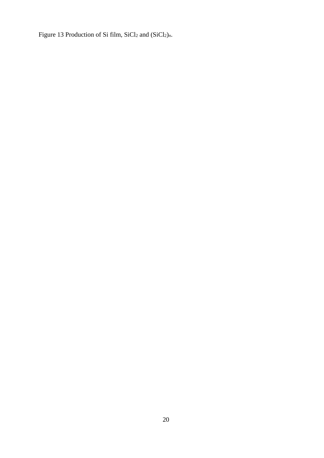Figure 13 Production of Si film, SiCl<sub>2</sub> and (SiCl<sub>2</sub>)<sub>*n*</sub>.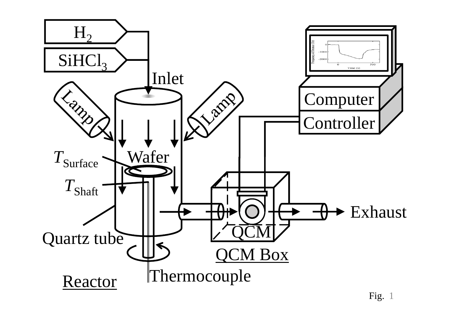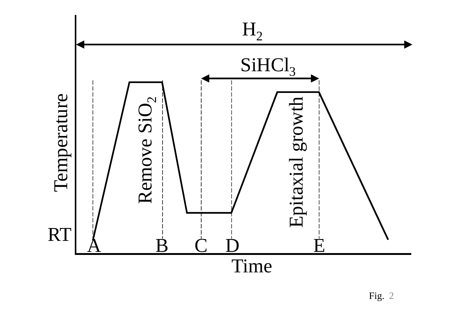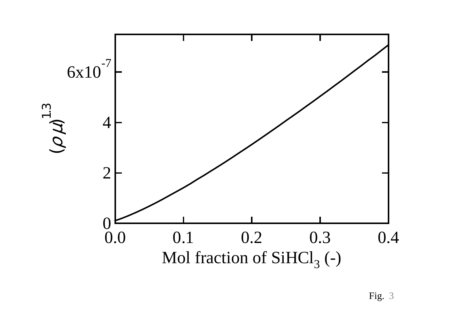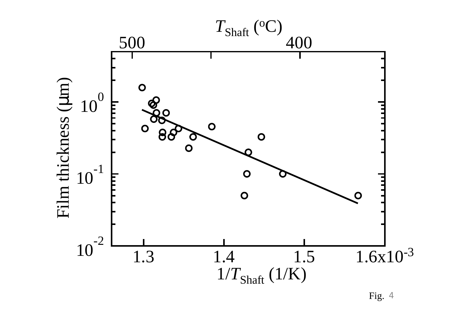

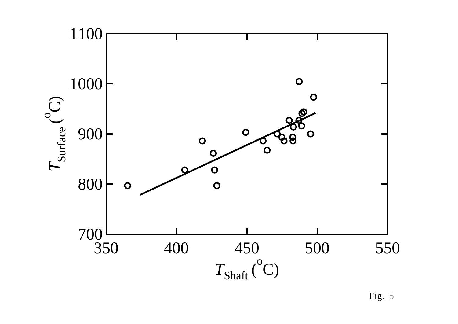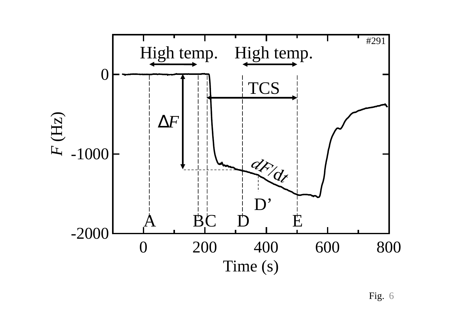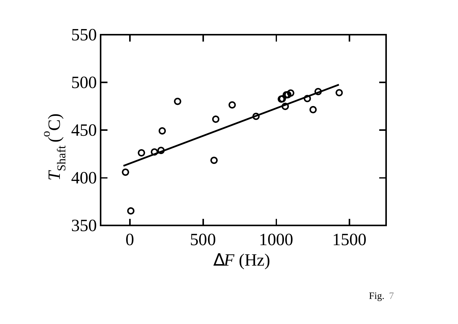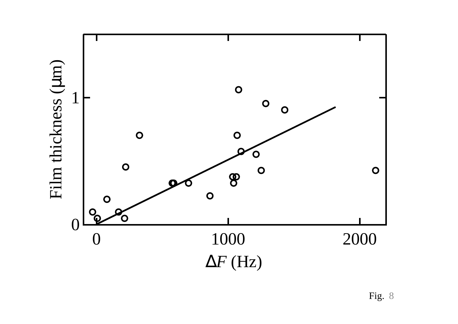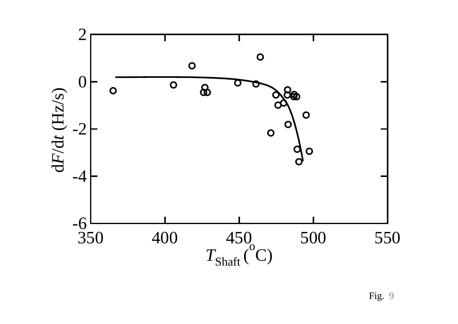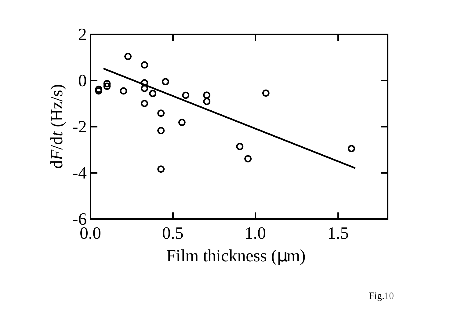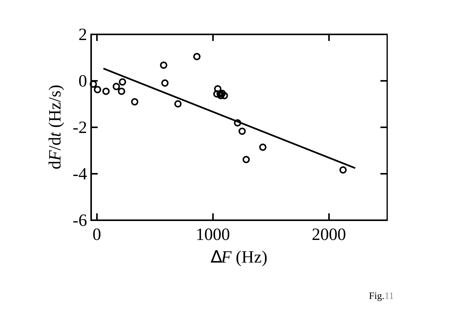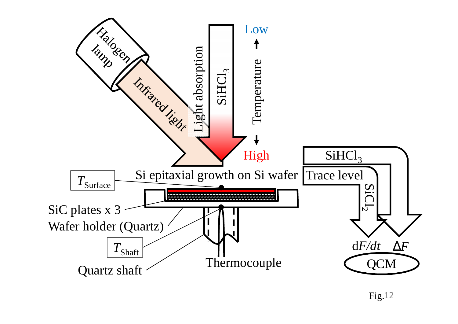